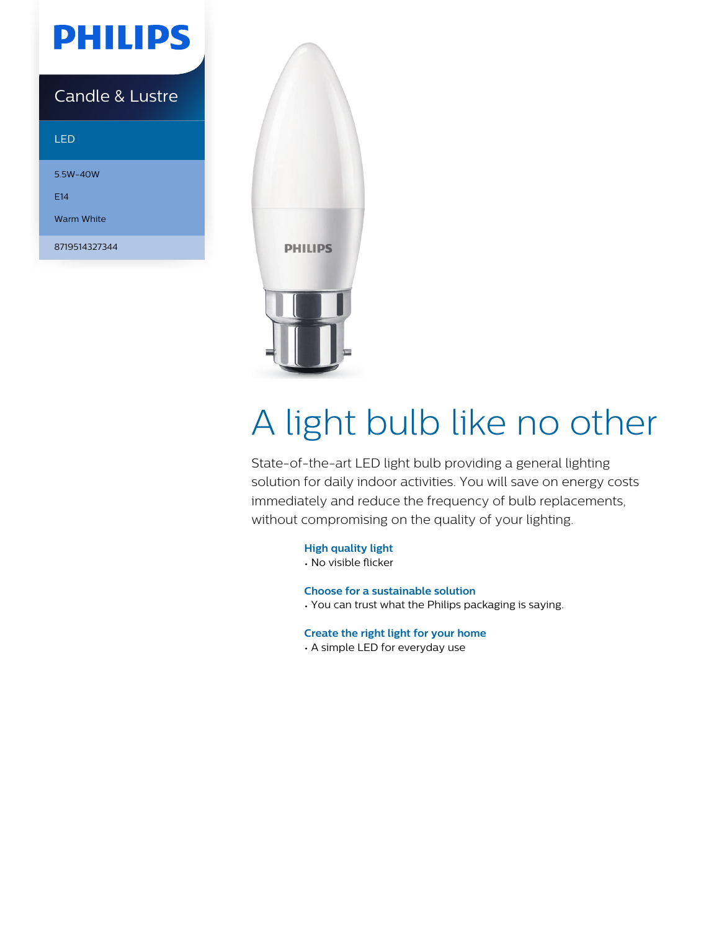

### Candle & Lustre

#### LED

5.5W-40W E14 Warm White

8719514327344



# A light bulb like no other

State-of-the-art LED light bulb providing a general lighting solution for daily indoor activities. You will save on energy costs immediately and reduce the frequency of bulb replacements, without compromising on the quality of your lighting.

#### **High quality light**

• No visible flicker

#### **Choose for a sustainable solution**

• You can trust what the Philips packaging is saying.

#### **Create the right light for your home**

• A simple LED for everyday use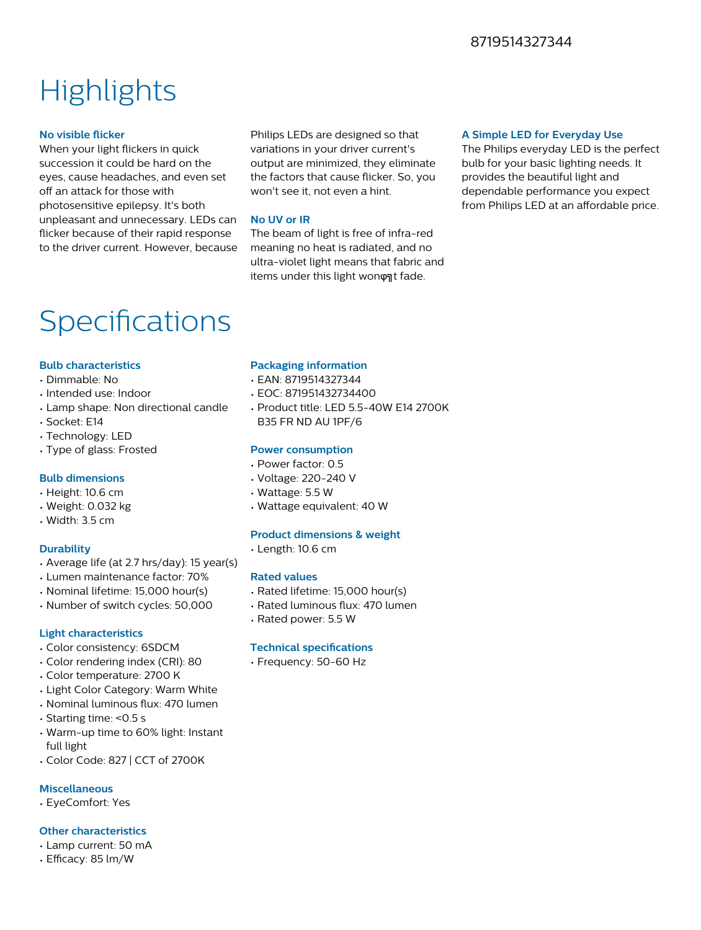#### 8719514327344

## **Highlights**

#### **No visible flicker**

When your light flickers in quick succession it could be hard on the eyes, cause headaches, and even set off an attack for those with photosensitive epilepsy. It's both unpleasant and unnecessary. LEDs can flicker because of their rapid response to the driver current. However, because

Philips LEDs are designed so that variations in your driver current's output are minimized, they eliminate the factors that cause flicker. So, you won't see it, not even a hint.

#### **No UV or IR**

The beam of light is free of infra-red meaning no heat is radiated, and no ultra-violet light means that fabric and items under this light wonφηt fade.

#### **A Simple LED for Everyday Use**

The Philips everyday LED is the perfect bulb for your basic lighting needs. It provides the beautiful light and dependable performance you expect from Philips LED at an affordable price.

### Specifications

#### **Bulb characteristics**

- Dimmable: No
- Intended use: Indoor
- Lamp shape: Non directional candle
- Socket: E14
- Technology: LED
- Type of glass: Frosted

#### **Bulb dimensions**

- Height: 10.6 cm
- Weight: 0.032 kg
- Width: 3.5 cm

#### **Durability**

- Average life (at 2.7 hrs/day): 15 year(s)
- Lumen maintenance factor: 70%
- Nominal lifetime: 15,000 hour(s)
- Number of switch cycles: 50,000

#### **Light characteristics**

- Color consistency: 6SDCM
- Color rendering index (CRI): 80
- Color temperature: 2700 K
- Light Color Category: Warm White
- Nominal luminous flux: 470 lumen
- Starting time: <0.5 s
- Warm-up time to 60% light: Instant full light
- Color Code: 827 | CCT of 2700K

#### **Miscellaneous**

• EyeComfort: Yes

#### **Other characteristics**

- Lamp current: 50 mA
- $\cdot$  Efficacy: 85 lm/W

#### **Packaging information**

- EAN: 8719514327344
- EOC: 871951432734400
- Product title: LED 5.5-40W E14 2700K B35 FR ND AU 1PF/6

#### **Power consumption**

- Power factor: 0.5
- Voltage: 220-240 V
- Wattage: 5.5 W
- Wattage equivalent: 40 W

#### **Product dimensions & weight**

• Length: 10.6 cm

#### **Rated values**

- Rated lifetime: 15,000 hour(s)
- Rated luminous flux: 470 lumen
- Rated power: 5.5 W

#### **Technical specifications**

• Frequency: 50-60 Hz